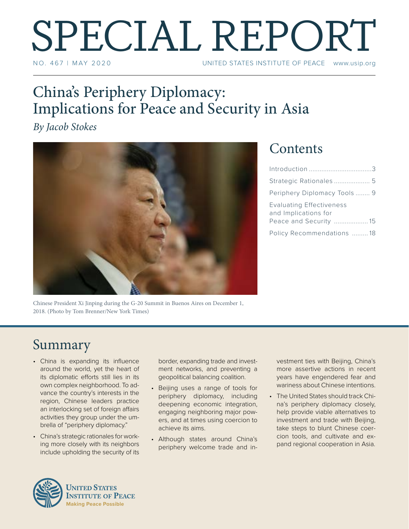# SPECIAL REPORT

UNITED STATES INSTITUTE OF PEACE www.usip.org

### China's Periphery Diplomacy: Implications for Peace and Security in Asia

*By Jacob Stokes*



### **Contents**

| Periphery Diplomacy Tools  9                                               |  |
|----------------------------------------------------------------------------|--|
| Evaluating Effectiveness<br>and Implications for<br>Peace and Security  15 |  |
| Policy Recommendations 18                                                  |  |

Chinese President Xi Jinping during the G-20 Summit in Buenos Aires on December 1, 2018. (Photo by Tom Brenner/New York Times)

### Summary

- China is expanding its influence around the world, yet the heart of its diplomatic efforts still lies in its own complex neighborhood. To advance the country's interests in the region, Chinese leaders practice an interlocking set of foreign affairs activities they group under the umbrella of "periphery diplomacy."
- China's strategic rationales for working more closely with its neighbors include upholding the security of its

border, expanding trade and investment networks, and preventing a geopolitical balancing coalition.

- Beijing uses a range of tools for periphery diplomacy, including deepening economic integration, engaging neighboring major powers, and at times using coercion to achieve its aims.
- Although states around China's periphery welcome trade and in-

vestment ties with Beijing, China's more assertive actions in recent years have engendered fear and wariness about Chinese intentions.

• The United States should track China's periphery diplomacy closely, help provide viable alternatives to investment and trade with Beijing, take steps to blunt Chinese coercion tools, and cultivate and expand regional cooperation in Asia.

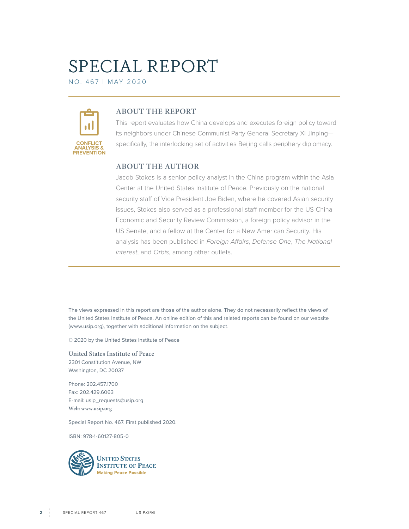# SPECIAL REPORT

NO. 467 | M ay 2020



#### **ABOUT THE REPORT**

This report evaluates how China develops and executes foreign policy toward its neighbors under Chinese Communist Party General Secretary Xi Jinping specifically, the interlocking set of activities Beijing calls periphery diplomacy.

#### **ABOUT THE AUTHOR**

Jacob Stokes is a senior policy analyst in the China program within the Asia Center at the United States Institute of Peace. Previously on the national security staff of Vice President Joe Biden, where he covered Asian security issues, Stokes also served as a professional staff member for the US-China Economic and Security Review Commission, a foreign policy advisor in the US Senate, and a fellow at the Center for a New American Security. His analysis has been published in *Foreign Affairs*, *Defense One*, *The National Interest*, and *Orbis*, among other outlets.

The views expressed in this report are those of the author alone. They do not necessarily reflect the views of the United States Institute of Peace. An online edition of this and related reports can be found on our website (www.usip.org), together with additional information on the subject.

© 2020 by the United States Institute of Peace

**United States Institute of Peace** 2301 Constitution Avenue, NW Washington, DC 20037

Phone: 202.457.1700 Fax: 202.429.6063 E-mail: usip\_requests@usip.org **Web: www.usip.org**

Special Report No. 467. First published 2020.

ISBN: 978-1-60127-805-0

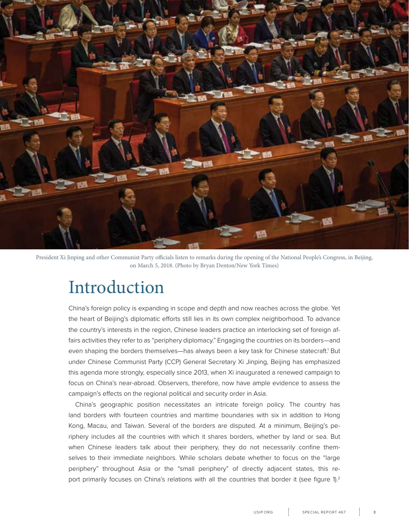<span id="page-2-0"></span>

President Xi Jinping and other Communist Party officials listen to remarks during the opening of the National People's Congress, in Beijing, on March 5, 2018. (Photo by Bryan Denton/New York Times)

### Introduction

China's foreign policy is expanding in scope and depth and now reaches across the globe. Yet the heart of Beijing's diplomatic efforts still lies in its own complex neighborhood. To advance the country's interests in the region, Chinese leaders practice an interlocking set of foreign affairs activities they refer to as "periphery diplomacy." Engaging the countries on its borders—and even shaping the borders themselves—has always been a key task for Chinese statecraft.<sup>1</sup> But under Chinese Communist Party (CCP) General Secretary Xi Jinping, Beijing has emphasized this agenda more strongly, especially since 2013, when Xi inaugurated a renewed campaign to focus on China's near-abroad. Observers, therefore, now have ample evidence to assess the campaign's effects on the regional political and security order in Asia.

China's geographic position necessitates an intricate foreign policy. The country has land borders with fourteen countries and maritime boundaries with six in addition to Hong Kong, Macau, and Taiwan. Several of the borders are disputed. At a minimum, Beijing's periphery includes all the countries with which it shares borders, whether by land or sea. But when Chinese leaders talk about their periphery, they do not necessarily confine themselves to their immediate neighbors. While scholars debate whether to focus on the "large periphery" throughout Asia or the "small periphery" of directly adjacent states, this report primarily focuses on China's relations with all the countries that border it (see figure 1).<sup>2</sup>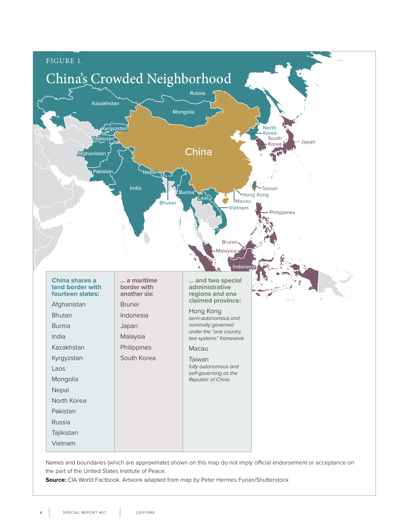

Names and boundaries (which are approximate) shown on this map do not imply official endorsement or acceptance on the part of the United States Institute of Peace.

**Source:** CIA World Factbook. Artwork adapted from map by Peter Hermes Furian/Shutterstock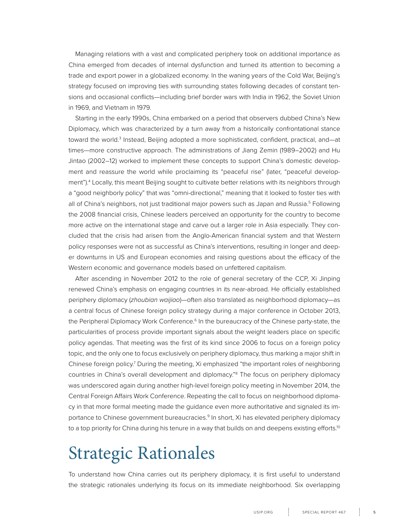<span id="page-4-0"></span>Managing relations with a vast and complicated periphery took on additional importance as China emerged from decades of internal dysfunction and turned its attention to becoming a trade and export power in a globalized economy. In the waning years of the Cold War, Beijing's strategy focused on improving ties with surrounding states following decades of constant tensions and occasional conflicts—including brief border wars with India in 1962, the Soviet Union in 1969, and Vietnam in 1979.

Starting in the early 1990s, China embarked on a period that observers dubbed China's New Diplomacy, which was characterized by a turn away from a historically confrontational stance toward the world.<sup>3</sup> Instead, Beijing adopted a more sophisticated, confident, practical, and—at times—more constructive approach. The administrations of Jiang Zemin (1989–2002) and Hu Jintao (2002–12) worked to implement these concepts to support China's domestic development and reassure the world while proclaiming its "peaceful rise" (later, "peaceful development").4 Locally, this meant Beijing sought to cultivate better relations with its neighbors through a "good neighborly policy" that was "omni-directional," meaning that it looked to foster ties with all of China's neighbors, not just traditional major powers such as Japan and Russia.<sup>5</sup> Following the 2008 financial crisis, Chinese leaders perceived an opportunity for the country to become more active on the international stage and carve out a larger role in Asia especially. They concluded that the crisis had arisen from the Anglo-American financial system and that Western policy responses were not as successful as China's interventions, resulting in longer and deeper downturns in US and European economies and raising questions about the efficacy of the Western economic and governance models based on unfettered capitalism.

After ascending in November 2012 to the role of general secretary of the CCP, Xi Jinping renewed China's emphasis on engaging countries in its near-abroad. He officially established periphery diplomacy (*zhoubian waijiao*)—often also translated as neighborhood diplomacy—as a central focus of Chinese foreign policy strategy during a major conference in October 2013, the Peripheral Diplomacy Work Conference.<sup>6</sup> In the bureaucracy of the Chinese party-state, the particularities of process provide important signals about the weight leaders place on specific policy agendas. That meeting was the first of its kind since 2006 to focus on a foreign policy topic, and the only one to focus exclusively on periphery diplomacy, thus marking a major shift in Chinese foreign policy.<sup>7</sup> During the meeting, Xi emphasized "the important roles of neighboring countries in China's overall development and diplomacy."8 The focus on periphery diplomacy was underscored again during another high-level foreign policy meeting in November 2014, the Central Foreign Affairs Work Conference. Repeating the call to focus on neighborhood diplomacy in that more formal meeting made the guidance even more authoritative and signaled its importance to Chinese government bureaucracies.<sup>9</sup> In short, Xi has elevated periphery diplomacy to a top priority for China during his tenure in a way that builds on and deepens existing efforts.<sup>10</sup>

### Strategic Rationales

To understand how China carries out its periphery diplomacy, it is first useful to understand the strategic rationales underlying its focus on its immediate neighborhood. Six overlapping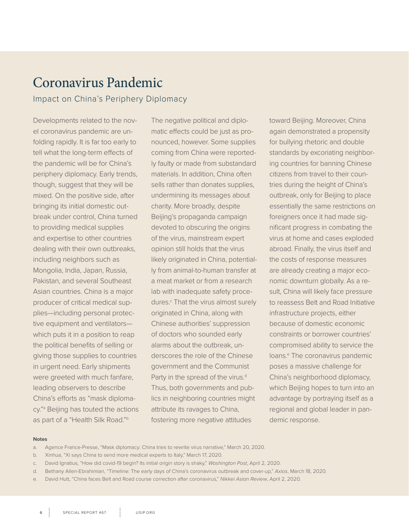### Coronavirus Pandemic

Impact on China's Periphery Diplomacy

Developments related to the novel coronavirus pandemic are unfolding rapidly. It is far too early to tell what the long-term effects of the pandemic will be for China's periphery diplomacy. Early trends, though, suggest that they will be mixed. On the positive side, after bringing its initial domestic outbreak under control, China turned to providing medical supplies and expertise to other countries dealing with their own outbreaks, including neighbors such as Mongolia, India, Japan, Russia, Pakistan, and several Southeast Asian countries. China is a major producer of critical medical supplies—including personal protective equipment and ventilators which puts it in a position to reap the political benefits of selling or giving those supplies to countries in urgent need. Early shipments were greeted with much fanfare, leading observers to describe China's efforts as "mask diplomacy."a Beijing has touted the actions as part of a "Health Silk Road."b

The negative political and diplomatic effects could be just as pronounced, however. Some supplies coming from China were reportedly faulty or made from substandard materials. In addition, China often sells rather than donates supplies, undermining its messages about charity. More broadly, despite Beijing's propaganda campaign devoted to obscuring the origins of the virus, mainstream expert opinion still holds that the virus likely originated in China, potentially from animal-to-human transfer at a meat market or from a research lab with inadequate safety procedures.<sup>c</sup> That the virus almost surely originated in China, along with Chinese authorities' suppression of doctors who sounded early alarms about the outbreak, underscores the role of the Chinese government and the Communist Party in the spread of the virus.<sup>d</sup> Thus, both governments and publics in neighboring countries might attribute its ravages to China, fostering more negative attitudes

toward Beijing. Moreover, China again demonstrated a propensity for bullying rhetoric and double standards by excoriating neighboring countries for banning Chinese citizens from travel to their countries during the height of China's outbreak, only for Beijing to place essentially the same restrictions on foreigners once it had made significant progress in combating the virus at home and cases exploded abroad. Finally, the virus itself and the costs of response measures are already creating a major economic downturn globally. As a result, China will likely face pressure to reassess Belt and Road Initiative infrastructure projects, either because of domestic economic constraints or borrower countries' compromised ability to service the loans.<sup>e</sup> The coronavirus pandemic poses a massive challenge for China's neighborhood diplomacy, which Beijing hopes to turn into an advantage by portraying itself as a regional and global leader in pandemic response.

#### **Notes**

- a. Agence France-Presse, "Mask diplomacy: China tries to rewrite virus narrative," March 20, 2020.
- b. Xinhua, "Xi says China to send more medical experts to Italy," March 17, 2020.
- c. David Ignatius, "How did covid-19 begin? Its initial origin story is shaky," *Washington Post*, April 2, 2020.
- d. Bethany Allen-Ebrahimian, "Timeline: The early days of China's coronavirus outbreak and cover-up," *Axios*, March 18, 2020.
- e. David Hutt, "China faces Belt and Road course correction after coronavirus," *Nikkei Asian Review*, April 2, 2020.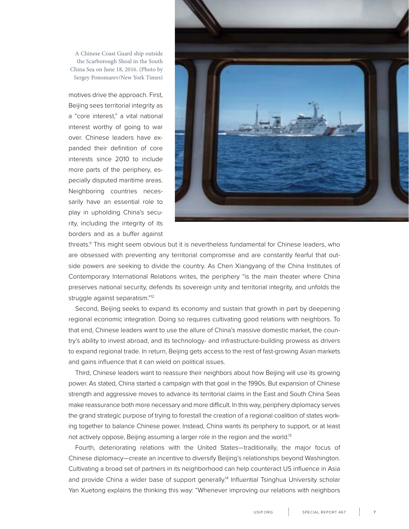A Chinese Coast Guard ship outside the Scarborough Shoal in the South China Sea on June 18, 2016. (Photo by Sergey Ponomarev/New York Times)

motives drive the approach. First, Beijing sees territorial integrity as a "core interest," a vital national interest worthy of going to war over. Chinese leaders have expanded their definition of core interests since 2010 to include more parts of the periphery, especially disputed maritime areas. Neighboring countries necessarily have an essential role to play in upholding China's security, including the integrity of its borders and as a buffer against



threats.<sup>11</sup> This might seem obvious but it is nevertheless fundamental for Chinese leaders, who are obsessed with preventing any territorial compromise and are constantly fearful that outside powers are seeking to divide the country. As Chen Xiangyang of the China Institutes of Contemporary International Relations writes, the periphery "is the main theater where China preserves national security, defends its sovereign unity and territorial integrity, and unfolds the struggle against separatism."12

Second, Beijing seeks to expand its economy and sustain that growth in part by deepening regional economic integration. Doing so requires cultivating good relations with neighbors. To that end, Chinese leaders want to use the allure of China's massive domestic market, the country's ability to invest abroad, and its technology- and infrastructure-building prowess as drivers to expand regional trade. In return, Beijing gets access to the rest of fast-growing Asian markets and gains influence that it can wield on political issues.

Third, Chinese leaders want to reassure their neighbors about how Beijing will use its growing power. As stated, China started a campaign with that goal in the 1990s. But expansion of Chinese strength and aggressive moves to advance its territorial claims in the East and South China Seas make reassurance both more necessary and more difficult. In this way, periphery diplomacy serves the grand strategic purpose of trying to forestall the creation of a regional coalition of states working together to balance Chinese power. Instead, China wants its periphery to support, or at least not actively oppose, Beijing assuming a larger role in the region and the world.<sup>13</sup>

Fourth, deteriorating relations with the United States—traditionally, the major focus of Chinese diplomacy—create an incentive to diversify Beijing's relationships beyond Washington. Cultivating a broad set of partners in its neighborhood can help counteract US influence in Asia and provide China a wider base of support generally.<sup>14</sup> Influential Tsinghua University scholar Yan Xuetong explains the thinking this way: "Whenever improving our relations with neighbors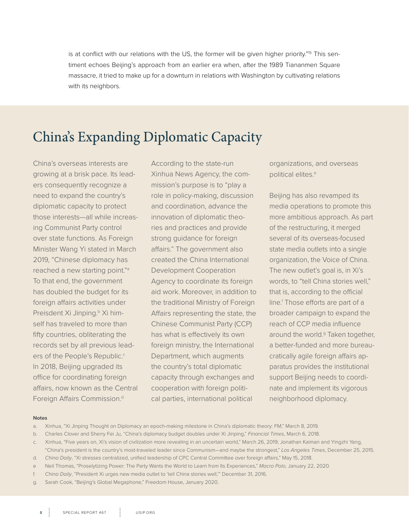is at conflict with our relations with the US, the former will be given higher priority."<sup>15</sup> This sentiment echoes Beijing's approach from an earlier era when, after the 1989 Tiananmen Square massacre, it tried to make up for a downturn in relations with Washington by cultivating relations with its neighbors.

### China's Expanding Diplomatic Capacity

China's overseas interests are growing at a brisk pace. Its leaders consequently recognize a need to expand the country's diplomatic capacity to protect those interests—all while increasing Communist Party control over state functions. As Foreign Minister Wang Yi stated in March 2019, "Chinese diplomacy has reached a new starting point."a To that end, the government has doubled the budget for its foreign affairs activities under Preisdent Xi Jinping.<sup>b</sup> Xi himself has traveled to more than fifty countries, obliterating the records set by all previous leaders of the People's Republic.<sup>c</sup> In 2018, Beijing upgraded its office for coordinating foreign affairs, now known as the Central Foreign Affairs Commission.<sup>d</sup>

According to the state-run Xinhua News Agency, the commission's purpose is to "play a role in policy-making, discussion and coordination, advance the innovation of diplomatic theories and practices and provide strong guidance for foreign affairs." The government also created the China International Development Cooperation Agency to coordinate its foreign aid work. Moreover, in addition to the traditional Ministry of Foreign Affairs representing the state, the Chinese Communist Party (CCP) has what is effectively its own foreign ministry, the International Department, which augments the country's total diplomatic capacity through exchanges and cooperation with foreign political parties, international political

organizations, and overseas political elites.<sup>e</sup>

Beijing has also revamped its media operations to promote this more ambitious approach. As part of the restructuring, it merged several of its overseas-focused state media outlets into a single organization, the Voice of China. The new outlet's goal is, in Xi's words, to "tell China stories well," that is, according to the official line.<sup>f</sup> Those efforts are part of a broader campaign to expand the reach of CCP media influence around the world.<sup>g</sup> Taken together, a better-funded and more bureaucratically agile foreign affairs apparatus provides the institutional support Beijing needs to coordinate and implement its vigorous neighborhood diplomacy.

#### **Notes**

- a. Xinhua, "Xi Jinping Thought on Diplomacy an epoch-making milestone in China's diplomatic theory: FM," March 8, 2019.
- b. Charles Clover and Sherry Fei Ju, "China's diplomacy budget doubles under Xi Jinping," *Financial Times*, March 6, 2018.
- c. Xinhua, "Five years on, Xi's vision of civilization more revealing in an uncertain world," March 26, 2019; Jonathan Kaiman and Yingzhi Yang, "China's president is the country's most-traveled leader since Communism—and maybe the strongest," *Los Angeles Times*, December 25, 2015.
- d. *China Daily*, "Xi stresses centralized, unified leadership of CPC Central Committee over foreign affairs," May 15, 2018.
- e Neil Thomas, "Proselytizing Power: The Party Wants the World to Learn from Its Experiences," *Macro Polo*, January 22, 2020.
- f. *China Daily*, "President Xi urges new media outlet to 'tell China stories well,'" December 31, 2016.
- g. Sarah Cook, "Beijing's Global Megaphone," Freedom House, January 2020.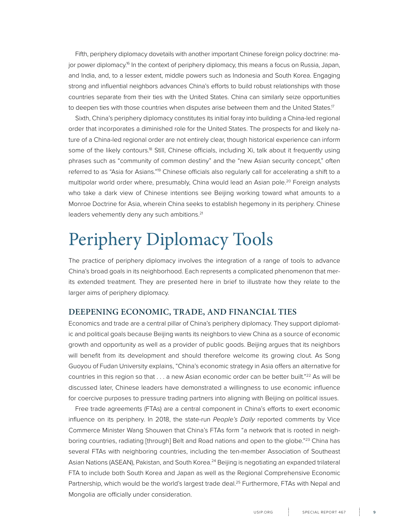<span id="page-8-0"></span>Fifth, periphery diplomacy dovetails with another important Chinese foreign policy doctrine: major power diplomacy.<sup>16</sup> In the context of periphery diplomacy, this means a focus on Russia, Japan, and India, and, to a lesser extent, middle powers such as Indonesia and South Korea. Engaging strong and influential neighbors advances China's efforts to build robust relationships with those countries separate from their ties with the United States. China can similarly seize opportunities to deepen ties with those countries when disputes arise between them and the United States.<sup>17</sup>

Sixth, China's periphery diplomacy constitutes its initial foray into building a China-led regional order that incorporates a diminished role for the United States. The prospects for and likely nature of a China-led regional order are not entirely clear, though historical experience can inform some of the likely contours.<sup>18</sup> Still, Chinese officials, including Xi, talk about it frequently using phrases such as "community of common destiny" and the "new Asian security concept," often referred to as "Asia for Asians."<sup>9</sup> Chinese officials also regularly call for accelerating a shift to a multipolar world order where, presumably, China would lead an Asian pole.<sup>20</sup> Foreign analysts who take a dark view of Chinese intentions see Beijing working toward what amounts to a Monroe Doctrine for Asia, wherein China seeks to establish hegemony in its periphery. Chinese leaders vehemently deny any such ambitions.<sup>21</sup>

# Periphery Diplomacy Tools

The practice of periphery diplomacy involves the integration of a range of tools to advance China's broad goals in its neighborhood. Each represents a complicated phenomenon that merits extended treatment. They are presented here in brief to illustrate how they relate to the larger aims of periphery diplomacy.

#### **DEEPENING ECONOMIC, TRADE, AND FINANCIAL TIES**

Economics and trade are a central pillar of China's periphery diplomacy. They support diplomatic and political goals because Beijing wants its neighbors to view China as a source of economic growth and opportunity as well as a provider of public goods. Beijing argues that its neighbors will benefit from its development and should therefore welcome its growing clout. As Song Guoyou of Fudan University explains, "China's economic strategy in Asia offers an alternative for countries in this region so that . . . a new Asian economic order can be better built."<sup>22</sup> As will be discussed later, Chinese leaders have demonstrated a willingness to use economic influence for coercive purposes to pressure trading partners into aligning with Beijing on political issues.

Free trade agreements (FTAs) are a central component in China's efforts to exert economic influence on its periphery. In 2018, the state-run *People's Daily* reported comments by Vice Commerce Minister Wang Shouwen that China's FTAs form "a network that is rooted in neighboring countries, radiating [through] Belt and Road nations and open to the globe."<sup>23</sup> China has several FTAs with neighboring countries, including the ten-member Association of Southeast Asian Nations (ASEAN), Pakistan, and South Korea.<sup>24</sup> Beijing is negotiating an expanded trilateral FTA to include both South Korea and Japan as well as the Regional Comprehensive Economic Partnership, which would be the world's largest trade deal.<sup>25</sup> Furthermore, FTAs with Nepal and Mongolia are officially under consideration.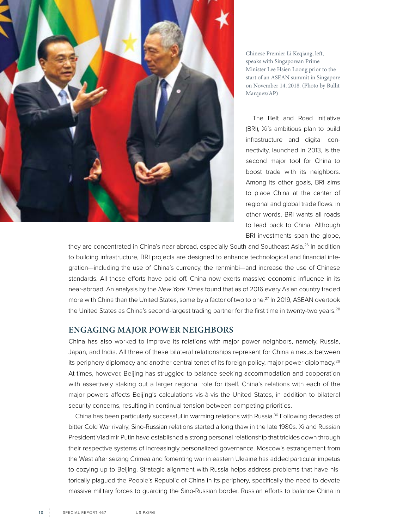

Chinese Premier Li Keqiang, left, speaks with Singaporean Prime Minister Lee Hsien Loong prior to the start of an ASEAN summit in Singapore on November 14, 2018. (Photo by Bullit Marquez/AP)

The Belt and Road Initiative (BRI), Xi's ambitious plan to build infrastructure and digital connectivity, launched in 2013, is the second major tool for China to boost trade with its neighbors. Among its other goals, BRI aims to place China at the center of regional and global trade flows: in other words, BRI wants all roads to lead back to China. Although BRI investments span the globe,

they are concentrated in China's near-abroad, especially South and Southeast Asia.<sup>26</sup> In addition to building infrastructure, BRI projects are designed to enhance technological and financial integration—including the use of China's currency, the renminbi—and increase the use of Chinese standards. All these efforts have paid off. China now exerts massive economic influence in its near-abroad. An analysis by the *New York Times* found that as of 2016 every Asian country traded more with China than the United States, some by a factor of two to one.<sup>27</sup> In 2019, ASEAN overtook the United States as China's second-largest trading partner for the first time in twenty-two years.<sup>28</sup>

#### **ENGAGING MAJOR POWER NEIGHBORS**

China has also worked to improve its relations with major power neighbors, namely, Russia, Japan, and India. All three of these bilateral relationships represent for China a nexus between its periphery diplomacy and another central tenet of its foreign policy, major power diplomacy.<sup>29</sup> At times, however, Beijing has struggled to balance seeking accommodation and cooperation with assertively staking out a larger regional role for itself. China's relations with each of the major powers affects Beijing's calculations vis-à-vis the United States, in addition to bilateral security concerns, resulting in continual tension between competing priorities.

China has been particularly successful in warming relations with Russia.30 Following decades of bitter Cold War rivalry, Sino-Russian relations started a long thaw in the late 1980s. Xi and Russian President Vladimir Putin have established a strong personal relationship that trickles down through their respective systems of increasingly personalized governance. Moscow's estrangement from the West after seizing Crimea and fomenting war in eastern Ukraine has added particular impetus to cozying up to Beijing. Strategic alignment with Russia helps address problems that have historically plagued the People's Republic of China in its periphery, specifically the need to devote massive military forces to guarding the Sino-Russian border. Russian efforts to balance China in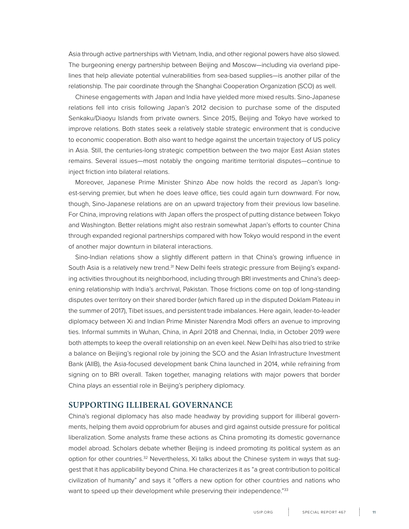Asia through active partnerships with Vietnam, India, and other regional powers have also slowed. The burgeoning energy partnership between Beijing and Moscow—including via overland pipelines that help alleviate potential vulnerabilities from sea-based supplies—is another pillar of the relationship. The pair coordinate through the Shanghai Cooperation Organization (SCO) as well.

Chinese engagements with Japan and India have yielded more mixed results. Sino-Japanese relations fell into crisis following Japan's 2012 decision to purchase some of the disputed Senkaku/Diaoyu Islands from private owners. Since 2015, Beijing and Tokyo have worked to improve relations. Both states seek a relatively stable strategic environment that is conducive to economic cooperation. Both also want to hedge against the uncertain trajectory of US policy in Asia. Still, the centuries-long strategic competition between the two major East Asian states remains. Several issues—most notably the ongoing maritime territorial disputes—continue to inject friction into bilateral relations.

Moreover, Japanese Prime Minister Shinzo Abe now holds the record as Japan's longest-serving premier, but when he does leave office, ties could again turn downward. For now, though, Sino-Japanese relations are on an upward trajectory from their previous low baseline. For China, improving relations with Japan offers the prospect of putting distance between Tokyo and Washington. Better relations might also restrain somewhat Japan's efforts to counter China through expanded regional partnerships compared with how Tokyo would respond in the event of another major downturn in bilateral interactions.

Sino-Indian relations show a slightly different pattern in that China's growing influence in South Asia is a relatively new trend.<sup>31</sup> New Delhi feels strategic pressure from Beijing's expanding activities throughout its neighborhood, including through BRI investments and China's deepening relationship with India's archrival, Pakistan. Those frictions come on top of long-standing disputes over territory on their shared border (which flared up in the disputed Doklam Plateau in the summer of 2017), Tibet issues, and persistent trade imbalances. Here again, leader-to-leader diplomacy between Xi and Indian Prime Minister Narendra Modi offers an avenue to improving ties. Informal summits in Wuhan, China, in April 2018 and Chennai, India, in October 2019 were both attempts to keep the overall relationship on an even keel. New Delhi has also tried to strike a balance on Beijing's regional role by joining the SCO and the Asian Infrastructure Investment Bank (AIIB), the Asia-focused development bank China launched in 2014, while refraining from signing on to BRI overall. Taken together, managing relations with major powers that border China plays an essential role in Beijing's periphery diplomacy.

#### **SUPPORTING ILLIBERAL GOVERNANCE**

China's regional diplomacy has also made headway by providing support for illiberal governments, helping them avoid opprobrium for abuses and gird against outside pressure for political liberalization. Some analysts frame these actions as China promoting its domestic governance model abroad. Scholars debate whether Beijing is indeed promoting its political system as an option for other countries.<sup>32</sup> Nevertheless, Xi talks about the Chinese system in ways that suggest that it has applicability beyond China. He characterizes it as "a great contribution to political civilization of humanity" and says it "offers a new option for other countries and nations who want to speed up their development while preserving their independence."<sup>33</sup>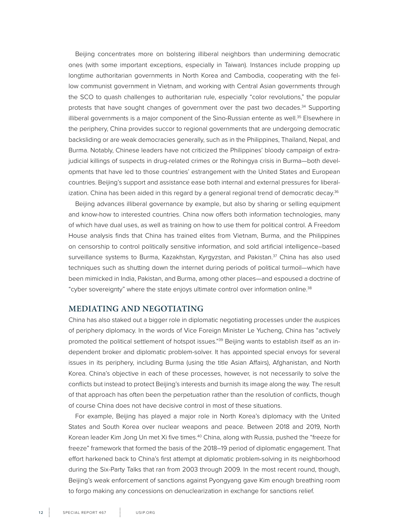Beijing concentrates more on bolstering illiberal neighbors than undermining democratic ones (with some important exceptions, especially in Taiwan). Instances include propping up longtime authoritarian governments in North Korea and Cambodia, cooperating with the fellow communist government in Vietnam, and working with Central Asian governments through the SCO to quash challenges to authoritarian rule, especially "color revolutions," the popular protests that have sought changes of government over the past two decades.34 Supporting illiberal governments is a major component of the Sino-Russian entente as well.<sup>35</sup> Elsewhere in the periphery, China provides succor to regional governments that are undergoing democratic backsliding or are weak democracies generally, such as in the Philippines, Thailand, Nepal, and Burma. Notably, Chinese leaders have not criticized the Philippines' bloody campaign of extrajudicial killings of suspects in drug-related crimes or the Rohingya crisis in Burma—both developments that have led to those countries' estrangement with the United States and European countries. Beijing's support and assistance ease both internal and external pressures for liberalization. China has been aided in this regard by a general regional trend of democratic decay.<sup>36</sup>

Beijing advances illiberal governance by example, but also by sharing or selling equipment and know-how to interested countries. China now offers both information technologies, many of which have dual uses, as well as training on how to use them for political control. A Freedom House analysis finds that China has trained elites from Vietnam, Burma, and the Philippines on censorship to control politically sensitive information, and sold artificial intelligence–based surveillance systems to Burma, Kazakhstan, Kyrgyzstan, and Pakistan.<sup>37</sup> China has also used techniques such as shutting down the internet during periods of political turmoil—which have been mimicked in India, Pakistan, and Burma, among other places—and espoused a doctrine of "cyber sovereignty" where the state enjoys ultimate control over information online.<sup>38</sup>

#### **MEDIATING AND NEGOTIATING**

China has also staked out a bigger role in diplomatic negotiating processes under the auspices of periphery diplomacy. In the words of Vice Foreign Minister Le Yucheng, China has "actively promoted the political settlement of hotspot issues."<sup>39</sup> Beijing wants to establish itself as an independent broker and diplomatic problem-solver. It has appointed special envoys for several issues in its periphery, including Burma (using the title Asian Affairs), Afghanistan, and North Korea. China's objective in each of these processes, however, is not necessarily to solve the conflicts but instead to protect Beijing's interests and burnish its image along the way. The result of that approach has often been the perpetuation rather than the resolution of conflicts, though of course China does not have decisive control in most of these situations.

For example, Beijing has played a major role in North Korea's diplomacy with the United States and South Korea over nuclear weapons and peace. Between 2018 and 2019, North Korean leader Kim Jong Un met Xi five times.<sup>40</sup> China, along with Russia, pushed the "freeze for freeze" framework that formed the basis of the 2018–19 period of diplomatic engagement. That effort harkened back to China's first attempt at diplomatic problem-solving in its neighborhood during the Six-Party Talks that ran from 2003 through 2009. In the most recent round, though, Beijing's weak enforcement of sanctions against Pyongyang gave Kim enough breathing room to forgo making any concessions on denuclearization in exchange for sanctions relief.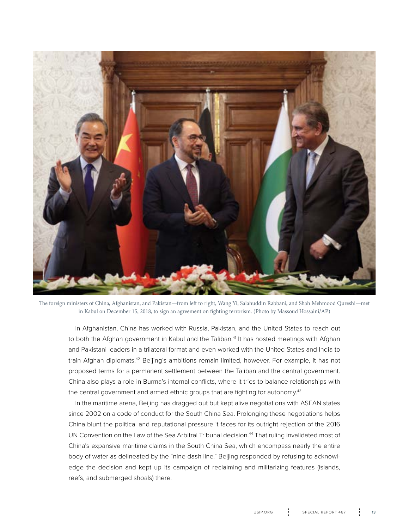

The foreign ministers of China, Afghanistan, and Pakistan—from left to right, Wang Yi, Salahuddin Rabbani, and Shah Mehmood Qureshi—met in Kabul on December 15, 2018, to sign an agreement on fighting terrorism. (Photo by Massoud Hossaini/AP)

In Afghanistan, China has worked with Russia, Pakistan, and the United States to reach out to both the Afghan government in Kabul and the Taliban.<sup>41</sup> It has hosted meetings with Afghan and Pakistani leaders in a trilateral format and even worked with the United States and India to train Afghan diplomats.<sup>42</sup> Beijing's ambitions remain limited, however. For example, it has not proposed terms for a permanent settlement between the Taliban and the central government. China also plays a role in Burma's internal conflicts, where it tries to balance relationships with the central government and armed ethnic groups that are fighting for autonomy.<sup>43</sup>

In the maritime arena, Beijing has dragged out but kept alive negotiations with ASEAN states since 2002 on a code of conduct for the South China Sea. Prolonging these negotiations helps China blunt the political and reputational pressure it faces for its outright rejection of the 2016 UN Convention on the Law of the Sea Arbitral Tribunal decision.<sup>44</sup> That ruling invalidated most of China's expansive maritime claims in the South China Sea, which encompass nearly the entire body of water as delineated by the "nine-dash line." Beijing responded by refusing to acknowledge the decision and kept up its campaign of reclaiming and militarizing features (islands, reefs, and submerged shoals) there.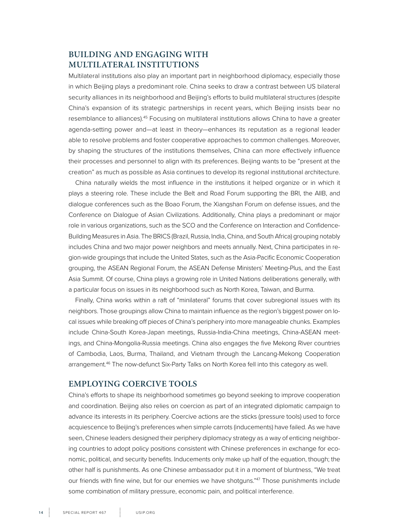### **BUILDING AND ENGAGING WITH MULTILATERAL INSTITUTIONS**

Multilateral institutions also play an important part in neighborhood diplomacy, especially those in which Beijing plays a predominant role. China seeks to draw a contrast between US bilateral security alliances in its neighborhood and Beijing's efforts to build multilateral structures (despite China's expansion of its strategic partnerships in recent years, which Beijing insists bear no resemblance to alliances).45 Focusing on multilateral institutions allows China to have a greater agenda-setting power and—at least in theory—enhances its reputation as a regional leader able to resolve problems and foster cooperative approaches to common challenges. Moreover, by shaping the structures of the institutions themselves, China can more effectively influence their processes and personnel to align with its preferences. Beijing wants to be "present at the creation" as much as possible as Asia continues to develop its regional institutional architecture.

China naturally wields the most influence in the institutions it helped organize or in which it plays a steering role. These include the Belt and Road Forum supporting the BRI, the AIIB, and dialogue conferences such as the Boao Forum, the Xiangshan Forum on defense issues, and the Conference on Dialogue of Asian Civilizations. Additionally, China plays a predominant or major role in various organizations, such as the SCO and the Conference on Interaction and Confidence-Building Measures in Asia. The BRICS (Brazil, Russia, India, China, and South Africa) grouping notably includes China and two major power neighbors and meets annually. Next, China participates in region-wide groupings that include the United States, such as the Asia-Pacific Economic Cooperation grouping, the ASEAN Regional Forum, the ASEAN Defense Ministers' Meeting-Plus, and the East Asia Summit. Of course, China plays a growing role in United Nations deliberations generally, with a particular focus on issues in its neighborhood such as North Korea, Taiwan, and Burma.

Finally, China works within a raft of "minilateral" forums that cover subregional issues with its neighbors. Those groupings allow China to maintain influence as the region's biggest power on local issues while breaking off pieces of China's periphery into more manageable chunks. Examples include China-South Korea-Japan meetings, Russia-India-China meetings, China-ASEAN meetings, and China-Mongolia-Russia meetings. China also engages the five Mekong River countries of Cambodia, Laos, Burma, Thailand, and Vietnam through the Lancang-Mekong Cooperation arrangement.46 The now-defunct Six-Party Talks on North Korea fell into this category as well.

#### **EMPLOYING COERCIVE TOOLS**

China's efforts to shape its neighborhood sometimes go beyond seeking to improve cooperation and coordination. Beijing also relies on coercion as part of an integrated diplomatic campaign to advance its interests in its periphery. Coercive actions are the sticks (pressure tools) used to force acquiescence to Beijing's preferences when simple carrots (inducements) have failed. As we have seen, Chinese leaders designed their periphery diplomacy strategy as a way of enticing neighboring countries to adopt policy positions consistent with Chinese preferences in exchange for economic, political, and security benefits. Inducements only make up half of the equation, though; the other half is punishments. As one Chinese ambassador put it in a moment of bluntness, "We treat our friends with fine wine, but for our enemies we have shotguns."<sup>47</sup> Those punishments include some combination of military pressure, economic pain, and political interference.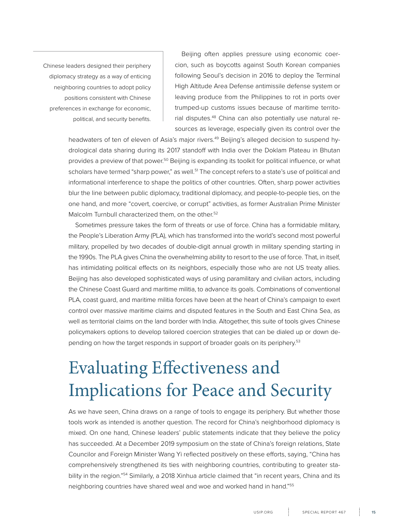<span id="page-14-0"></span>Chinese leaders designed their periphery diplomacy strategy as a way of enticing neighboring countries to adopt policy positions consistent with Chinese preferences in exchange for economic, political, and security benefits.

Beijing often applies pressure using economic coercion, such as boycotts against South Korean companies following Seoul's decision in 2016 to deploy the Terminal High Altitude Area Defense antimissile defense system or leaving produce from the Philippines to rot in ports over trumped-up customs issues because of maritime territorial disputes.48 China can also potentially use natural resources as leverage, especially given its control over the

headwaters of ten of eleven of Asia's major rivers.<sup>49</sup> Beijing's alleged decision to suspend hydrological data sharing during its 2017 standoff with India over the Doklam Plateau in Bhutan provides a preview of that power.<sup>50</sup> Beijing is expanding its toolkit for political influence, or what scholars have termed "sharp power," as well.<sup>51</sup> The concept refers to a state's use of political and informational interference to shape the politics of other countries. Often, sharp power activities blur the line between public diplomacy, traditional diplomacy, and people-to-people ties, on the one hand, and more "covert, coercive, or corrupt" activities, as former Australian Prime Minister Malcolm Turnbull characterized them, on the other.<sup>52</sup>

Sometimes pressure takes the form of threats or use of force. China has a formidable military, the People's Liberation Army (PLA), which has transformed into the world's second most powerful military, propelled by two decades of double-digit annual growth in military spending starting in the 1990s. The PLA gives China the overwhelming ability to resort to the use of force. That, in itself, has intimidating political effects on its neighbors, especially those who are not US treaty allies. Beijing has also developed sophisticated ways of using paramilitary and civilian actors, including the Chinese Coast Guard and maritime militia, to advance its goals. Combinations of conventional PLA, coast guard, and maritime militia forces have been at the heart of China's campaign to exert control over massive maritime claims and disputed features in the South and East China Sea, as well as territorial claims on the land border with India. Altogether, this suite of tools gives Chinese policymakers options to develop tailored coercion strategies that can be dialed up or down depending on how the target responds in support of broader goals on its periphery.<sup>53</sup>

# Evaluating Effectiveness and Implications for Peace and Security

As we have seen, China draws on a range of tools to engage its periphery. But whether those tools work as intended is another question. The record for China's neighborhood diplomacy is mixed. On one hand, Chinese leaders' public statements indicate that they believe the policy has succeeded. At a December 2019 symposium on the state of China's foreign relations, State Councilor and Foreign Minister Wang Yi reflected positively on these efforts, saying, "China has comprehensively strengthened its ties with neighboring countries, contributing to greater stability in the region."<sup>54</sup> Similarly, a 2018 Xinhua article claimed that "in recent years, China and its neighboring countries have shared weal and woe and worked hand in hand."55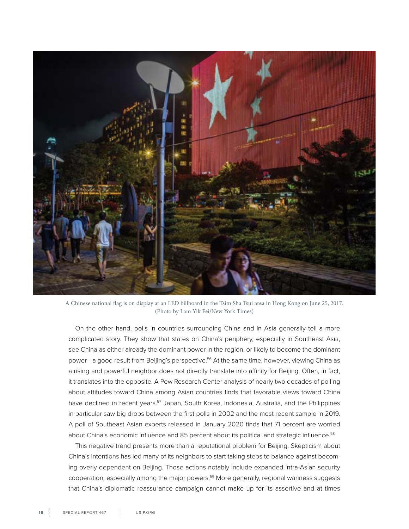

A Chinese national flag is on display at an LED billboard in the Tsim Sha Tsui area in Hong Kong on June 25, 2017. (Photo by Lam Yik Fei/New York Times)

On the other hand, polls in countries surrounding China and in Asia generally tell a more complicated story. They show that states on China's periphery, especially in Southeast Asia, see China as either already the dominant power in the region, or likely to become the dominant power—a good result from Beijing's perspective.<sup>56</sup> At the same time, however, viewing China as a rising and powerful neighbor does not directly translate into affinity for Beijing. Often, in fact, it translates into the opposite. A Pew Research Center analysis of nearly two decades of polling about attitudes toward China among Asian countries finds that favorable views toward China have declined in recent years.<sup>57</sup> Japan, South Korea, Indonesia, Australia, and the Philippines in particular saw big drops between the first polls in 2002 and the most recent sample in 2019. A poll of Southeast Asian experts released in January 2020 finds that 71 percent are worried about China's economic influence and 85 percent about its political and strategic influence.<sup>58</sup>

This negative trend presents more than a reputational problem for Beijing. Skepticism about China's intentions has led many of its neighbors to start taking steps to balance against becoming overly dependent on Beijing. Those actions notably include expanded intra-Asian security cooperation, especially among the major powers.59 More generally, regional wariness suggests that China's diplomatic reassurance campaign cannot make up for its assertive and at times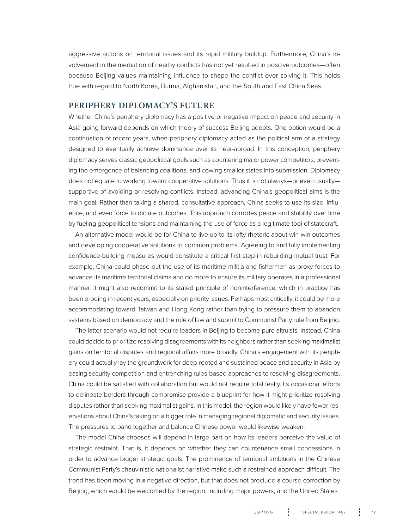aggressive actions on territorial issues and its rapid military buildup. Furthermore, China's involvement in the mediation of nearby conflicts has not yet resulted in positive outcomes—often because Beijing values maintaining influence to shape the conflict over solving it. This holds true with regard to North Korea, Burma, Afghanistan, and the South and East China Seas.

#### **PERIPHERY DIPLOMACY'S FUTURE**

Whether China's periphery diplomacy has a positive or negative impact on peace and security in Asia going forward depends on which theory of success Beijing adopts. One option would be a continuation of recent years, when periphery diplomacy acted as the political arm of a strategy designed to eventually achieve dominance over its near-abroad. In this conception, periphery diplomacy serves classic geopolitical goals such as countering major power competitors, preventing the emergence of balancing coalitions, and cowing smaller states into submission. Diplomacy does not equate to working toward cooperative solutions. Thus it is not always—or even usually supportive of avoiding or resolving conflicts. Instead, advancing China's geopolitical aims is the main goal. Rather than taking a shared, consultative approach, China seeks to use its size, influence, and even force to dictate outcomes. This approach corrodes peace and stability over time by fueling geopolitical tensions and maintaining the use of force as a legitimate tool of statecraft.

An alternative model would be for China to live up to its lofty rhetoric about win-win outcomes and developing cooperative solutions to common problems. Agreeing to and fully implementing confidence-building measures would constitute a critical first step in rebuilding mutual trust. For example, China could phase out the use of its maritime militia and fishermen as proxy forces to advance its maritime territorial claims and do more to ensure its military operates in a professional manner. It might also recommit to its stated principle of noninterference, which in practice has been eroding in recent years, especially on priority issues. Perhaps most critically, it could be more accommodating toward Taiwan and Hong Kong rather than trying to pressure them to abandon systems based on democracy and the rule of law and submit to Communist Party rule from Beijing.

The latter scenario would not require leaders in Beijing to become pure altruists. Instead, China could decide to prioritize resolving disagreements with its neighbors rather than seeking maximalist gains on territorial disputes and regional affairs more broadly. China's engagement with its periphery could actually lay the groundwork for deep-rooted and sustained peace and security in Asia by easing security competition and entrenching rules-based approaches to resolving disagreements. China could be satisfied with collaboration but would not require total fealty. Its occasional efforts to delineate borders through compromise provide a blueprint for how it might prioritize resolving disputes rather than seeking maximalist gains. In this model, the region would likely have fewer reservations about China's taking on a bigger role in managing regional diplomatic and security issues. The pressures to band together and balance Chinese power would likewise weaken.

The model China chooses will depend in large part on how its leaders perceive the value of strategic restraint. That is, it depends on whether they can countenance small concessions in order to advance bigger strategic goals. The prominence of territorial ambitions in the Chinese Communist Party's chauvinistic nationalist narrative make such a restrained approach difficult. The trend has been moving in a negative direction, but that does not preclude a course correction by Beijing, which would be welcomed by the region, including major powers, and the United States.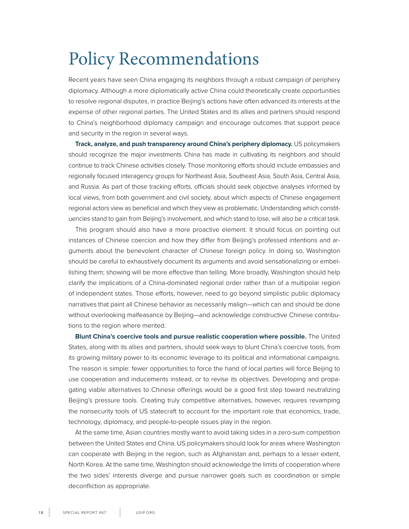### <span id="page-17-0"></span>Policy Recommendations

Recent years have seen China engaging its neighbors through a robust campaign of periphery diplomacy. Although a more diplomatically active China could theoretically create opportunities to resolve regional disputes, in practice Beijing's actions have often advanced its interests at the expense of other regional parties. The United States and its allies and partners should respond to China's neighborhood diplomacy campaign and encourage outcomes that support peace and security in the region in several ways.

**Track, analyze, and push transparency around China's periphery diplomacy.** US policymakers should recognize the major investments China has made in cultivating its neighbors and should continue to track Chinese activities closely. Those monitoring efforts should include embassies and regionally focused interagency groups for Northeast Asia, Southeast Asia, South Asia, Central Asia, and Russia. As part of those tracking efforts, officials should seek objective analyses informed by local views, from both government and civil society, about which aspects of Chinese engagement regional actors view as beneficial and which they view as problematic. Understanding which constituencies stand to gain from Beijing's involvement, and which stand to lose, will also be a critical task.

This program should also have a more proactive element. It should focus on pointing out instances of Chinese coercion and how they differ from Beijing's professed intentions and arguments about the benevolent character of Chinese foreign policy. In doing so, Washington should be careful to exhaustively document its arguments and avoid sensationalizing or embellishing them; showing will be more effective than telling. More broadly, Washington should help clarify the implications of a China-dominated regional order rather than of a multipolar region of independent states. Those efforts, however, need to go beyond simplistic public diplomacy narratives that paint all Chinese behavior as necessarily malign—which can and should be done without overlooking malfeasance by Beijing—and acknowledge constructive Chinese contributions to the region where merited.

**Blunt China's coercive tools and pursue realistic cooperation where possible.** The United States, along with its allies and partners, should seek ways to blunt China's coercive tools, from its growing military power to its economic leverage to its political and informational campaigns. The reason is simple: fewer opportunities to force the hand of local parties will force Beijing to use cooperation and inducements instead, or to revise its objectives. Developing and propagating viable alternatives to Chinese offerings would be a good first step toward neutralizing Beijing's pressure tools. Creating truly competitive alternatives, however, requires revamping the nonsecurity tools of US statecraft to account for the important role that economics, trade, technology, diplomacy, and people-to-people issues play in the region.

At the same time, Asian countries mostly want to avoid taking sides in a zero-sum competition between the United States and China. US policymakers should look for areas where Washington can cooperate with Beijing in the region, such as Afghanistan and, perhaps to a lesser extent, North Korea. At the same time, Washington should acknowledge the limits of cooperation where the two sides' interests diverge and pursue narrower goals such as coordination or simple deconfliction as appropriate.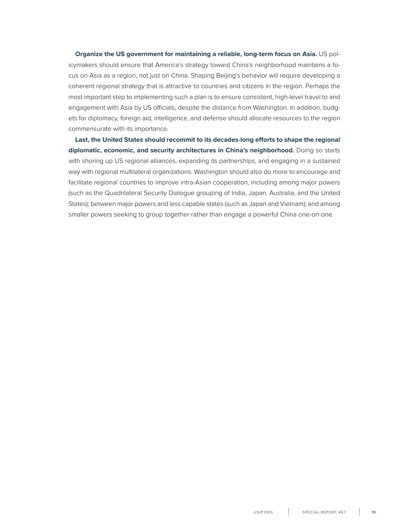**Organize the US government for maintaining a reliable, long-term focus on Asia.** US policymakers should ensure that America's strategy toward China's neighborhood maintains a focus on Asia as a region, not just on China. Shaping Beijing's behavior will require developing a coherent regional strategy that is attractive to countries and citizens in the region. Perhaps the most important step to implementing such a plan is to ensure consistent, high-level travel to and engagement with Asia by US officials, despite the distance from Washington. In addition, budgets for diplomacy, foreign aid, intelligence, and defense should allocate resources to the region commensurate with its importance.

**Last, the United States should recommit to its decades-long efforts to shape the regional diplomatic, economic, and security architectures in China's neighborhood.** Doing so starts with shoring up US regional alliances, expanding its partnerships, and engaging in a sustained way with regional multilateral organizations. Washington should also do more to encourage and facilitate regional countries to improve intra-Asian cooperation, including among major powers (such as the Quadrilateral Security Dialogue grouping of India, Japan, Australia, and the United States); between major powers and less capable states (such as Japan and Vietnam); and among smaller powers seeking to group together rather than engage a powerful China one-on-one.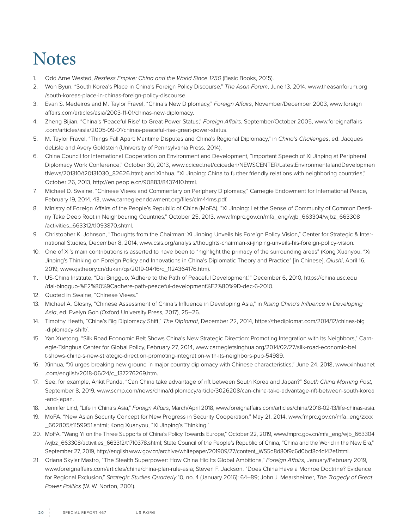# **Notes**

- 1. Odd Arne Westad, *Restless Empire: China and the World Since 1750* (Basic Books, 2015).
- 2. Won Byun, "South Korea's Place in China's Foreign Policy Discourse," *The Asan Forum*, June 13, 2014, www.theasanforum.org /south-koreas-place-in-chinas-foreign-policy-discourse.
- 3. Evan S. Medeiros and M. Taylor Fravel, "China's New Diplomacy," *Foreign Affairs*, November/December 2003, www.foreign affairs.com/articles/asia/2003-11-01/chinas-new-diplomacy.
- 4. Zheng Bijian, "China's 'Peaceful Rise' to Great-Power Status," *Foreign Affairs*, September/October 2005, www.foreignaffairs .com/articles/asia/2005-09-01/chinas-peaceful-rise-great-power-status.
- 5. M. Taylor Fravel, "Things Fall Apart: Maritime Disputes and China's Regional Diplomacy," in *China's Challenges*, ed. Jacques deLisle and Avery Goldstein (University of Pennsylvania Press, 2014).
- 6. China Council for International Cooperation on Environment and Development, "Important Speech of Xi Jinping at Peripheral Diplomacy Work Conference," October 30, 2013, www.cciced.net/cciceden/NEWSCENTER/LatestEnvironmentalandDevelopmen tNews/201310/t20131030\_82626.html; and Xinhua, "Xi Jinping: China to further friendly relations with neighboring countries," October 26, 2013, http://en.people.cn/90883/8437410.html.
- 7. Michael D. Swaine, "Chinese Views and Commentary on Periphery Diplomacy," Carnegie Endowment for International Peace, February 19, 2014, 43, www.carnegieendowment.org/files/clm44ms.pdf.
- 8. Ministry of Foreign Affairs of the People's Republic of China (MoFA), "Xi Jinping: Let the Sense of Community of Common Destiny Take Deep Root in Neighbouring Countries," October 25, 2013, www.fmprc.gov.cn/mfa\_eng/wjb\_663304/wjbz\_663308 /activities\_663312/t1093870.shtml.
- 9. Christopher K. Johnson, "Thoughts from the Chairman: Xi Jinping Unveils his Foreign Policy Vision," Center for Strategic & International Studies, December 8, 2014, www.csis.org/analysis/thoughts-chairman-xi-jinping-unveils-his-foreign-policy-vision.
- 10. One of Xi's main contributions is asserted to have been to "highlight the primacy of the surrounding areas" (Kong Xuanyou, "Xi Jinping's Thinking on Foreign Policy and Innovations in China's Diplomatic Theory and Practice" [in Chinese], *Qiushi*, April 16, 2019, www.qstheory.cn/dukan/qs/2019-04/16/c\_1124364176.htm).
- 11. US-China Institute, "Dai Bingguo, 'Adhere to the Path of Peaceful Development,'" December 6, 2010, https://china.usc.edu /dai-bingguo-%E2%80%9Cadhere-path-peaceful-development%E2%80%9D-dec-6-2010.
- 12. Quoted in Swaine, "Chinese Views."
- 13. Michael A. Glosny, "Chinese Assessment of China's Influence in Developing Asia," in *Rising China's Influence in Developing Asia*, ed. Evelyn Goh (Oxford University Press, 2017), 25–26.
- 14. Timothy Heath, "China's Big Diplomacy Shift," *The Diplomat*, December 22, 2014, https://thediplomat.com/2014/12/chinas-big -diplomacy-shift/.
- 15. Yan Xuetong, "Silk Road Economic Belt Shows China's New Strategic Direction: Promoting Integration with Its Neighbors," Carnegie-Tsinghua Center for Global Policy, February 27, 2014, www.carnegietsinghua.org/2014/02/27/silk-road-economic-bel t-shows-china-s-new-strategic-direction-promoting-integration-with-its-neighbors-pub-54989.
- 16. Xinhua, "Xi urges breaking new ground in major country diplomacy with Chinese characteristics," June 24, 2018, www.xinhuanet .com/english/2018-06/24/c\_137276269.htm.
- 17. See, for example, Ankit Panda, "Can China take advantage of rift between South Korea and Japan?" *South China Morning Post*, September 8, 2019, www.scmp.com/news/china/diplomacy/article/3026208/can-china-take-advantage-rift-between-south-korea -and-japan.
- 18. Jennifer Lind, "Life in China's Asia," *Foreign Affairs*, March/April 2018, www.foreignaffairs.com/articles/china/2018-02-13/life-chinas-asia.
- 19. MoFA, "New Asian Security Concept for New Progress in Security Cooperation," May 21, 2014, www.fmprc.gov.cn/mfa\_eng/zxxx \_662805/t1159951.shtml; Kong Xuanyou, "Xi Jinping's Thinking."
- 20. MoFA, "Wang Yi on the Three Supports of China's Policy Towards Europe," October 22, 2019, www.fmprc.gov.cn/mfa\_eng/wjb\_663304 /wjbz\_663308/activities\_663312/t1710378.shtml; State Council of the People's Republic of China, "China and the World in the New Era," September 27, 2019, http://english.www.gov.cn/archive/whitepaper/201909/27/content\_WS5d8d80f9c6d0bcf8c4c142ef.html.
- 21. Oriana Skylar Mastro, "The Stealth Superpower: How China Hid Its Global Ambitions," *Foreign Affairs*, January/February 2019, www.foreignaffairs.com/articles/china/china-plan-rule-asia; Steven F. Jackson, "Does China Have a Monroe Doctrine? Evidence for Regional Exclusion," *Strategic Studies Quarterly* 10, no. 4 (January 2016): 64–89; John J. Mearsheimer, *The Tragedy of Great Power Politics* (W. W. Norton, 2001).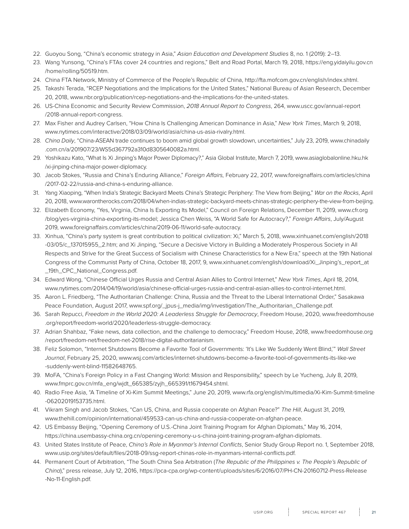- 22. Guoyou Song, "China's economic strategy in Asia," *Asian Education and Development Studies* 8, no. 1 (2019): 2–13.
- 23. Wang Yunsong, "China's FTAs cover 24 countries and regions," Belt and Road Portal, March 19, 2018, https://eng.yidaiyilu.gov.cn /home/rolling/50519.htm.
- 24. China FTA Network, Ministry of Commerce of the People's Republic of China, http://fta.mofcom.gov.cn/english/index.shtml.
- 25. Takashi Terada, "RCEP Negotiations and the Implications for the United States," National Bureau of Asian Research, December 20, 2018, www.nbr.org/publication/rcep-negotiations-and-the-implications-for-the-united-states.
- 26. US-China Economic and Security Review Commission, *2018 Annual Report to Congress*, 264, www.uscc.gov/annual-report /2018-annual-report-congress.
- 27. Max Fisher and Audrey Carlsen, "How China Is Challenging American Dominance in Asia," *New York Times*, March 9, 2018, www.nytimes.com/interactive/2018/03/09/world/asia/china-us-asia-rivalry.html.
- 28. *China Daily*, "China-ASEAN trade continues to boom amid global growth slowdown, uncertainties," July 23, 2019, www.chinadaily .com.cn/a/201907/23/WS5d367792a310d8305640082a.html.
- 29. Yoshikazu Kato, "What Is Xi Jinping's Major Power Diplomacy?," Asia Global Institute, March 7, 2019, www.asiaglobalonline.hku.hk /xi-jinping-china-major-power-diplomacy.
- 30. Jacob Stokes, "Russia and China's Enduring Alliance," *Foreign Affairs,* February 22, 2017, www.foreignaffairs.com/articles/china /2017-02-22/russia-and-china-s-enduring-alliance.
- 31. Yang Xiaoping, "When India's Strategic Backyard Meets China's Strategic Periphery: The View from Beijing," *War on the Rocks*, April 20, 2018, www.warontherocks.com/2018/04/when-indias-strategic-backyard-meets-chinas-strategic-periphery-the-view-from-beijing.
- 32. Elizabeth Economy, "Yes, Virginia, China Is Exporting Its Model," Council on Foreign Relations, December 11, 2019, www.cfr.org /blog/yes-virginia-china-exporting-its-model; Jessica Chen Weiss, "A World Safe for Autocracy?," *Foreign Affairs*, July/August 2019, www.foreignaffairs.com/articles/china/2019-06-11/world-safe-autocracy.
- 33. Xinhua, "China's party system is great contribution to political civilization: Xi," March 5, 2018, www.xinhuanet.com/english/2018 -03/05/c\_137015955\_2.htm; and Xi Jinping, "Secure a Decisive Victory in Building a Moderately Prosperous Society in All Respects and Strive for the Great Success of Socialism with Chinese Characteristics for a New Era," speech at the 19th National Congress of the Communist Party of China, October 18, 2017, 9, www.xinhuanet.com/english/download/Xi\_Jinping's\_report\_at \_19th\_CPC\_National\_Congress.pdf.
- 34. Edward Wong, "Chinese Official Urges Russia and Central Asian Allies to Control Internet," *New York Times*, April 18, 2014, www.nytimes.com/2014/04/19/world/asia/chinese-official-urges-russia-and-central-asian-allies-to-control-internet.html.
- 35. Aaron L. Friedberg, "The Authoritarian Challenge: China, Russia and the Threat to the Liberal International Order," Sasakawa Peace Foundation, August 2017, www.spf.org/\_jpus-j\_media/img/investigation/The\_Authoritarian\_Challenge.pdf.
- 36. Sarah Repucci, *Freedom in the World 2020: A Leaderless Struggle for Democracy*, Freedom House, 2020, www.freedomhouse .org/report/freedom-world/2020/leaderless-struggle-democracy.
- 37. Adrian Shahbaz, "Fake news, data collection, and the challenge to democracy," Freedom House, 2018, www.freedomhouse.org /report/freedom-net/freedom-net-2018/rise-digital-authoritarianism.
- 38. Feliz Solomon, "Internet Shutdowns Become a Favorite Tool of Governments: 'It's Like We Suddenly Went Blind,'" *Wall Street Journal*, February 25, 2020, www.wsj.com/articles/internet-shutdowns-become-a-favorite-tool-of-governments-its-like-we -suddenly-went-blind-11582648765.
- 39. MoFA, "China's Foreign Policy in a Fast Changing World: Mission and Responsibility," speech by Le Yucheng, July 8, 2019, www.fmprc.gov.cn/mfa\_eng/wjdt\_665385/zyjh\_665391/t1679454.shtml.
- 40. Radio Free Asia, "A Timeline of Xi-Kim Summit Meetings," June 20, 2019, www.rfa.org/english/multimedia/Xi-Kim-Summit-timeline -06202019153735.html.
- 41. Vikram Singh and Jacob Stokes, "Can US, China, and Russia cooperate on Afghan Peace?" *The Hill*, August 31, 2019, www.thehill.com/opinion/international/459533-can-us-china-and-russia-cooperate-on-afghan-peace.
- 42. US Embassy Beijing, "Opening Ceremony of U.S.-China Joint Training Program for Afghan Diplomats," May 16, 2014, https://china.usembassy-china.org.cn/opening-ceremony-u-s-china-joint-training-program-afghan-diplomats.
- 43. United States Institute of Peace, *China's Role in Myanmar's Internal Conflicts*, Senior Study Group Report no. 1, September 2018, www.usip.org/sites/default/files/2018-09/ssg-report-chinas-role-in-myanmars-internal-conflicts.pdf.
- 44. Permanent Court of Arbitration, "The South China Sea Arbitration (*The Republic of the Philippines v. The People's Republic of China*)," press release, July 12, 2016, https://pca-cpa.org/wp-content/uploads/sites/6/2016/07/PH-CN-20160712-Press-Release -No-11-English.pdf.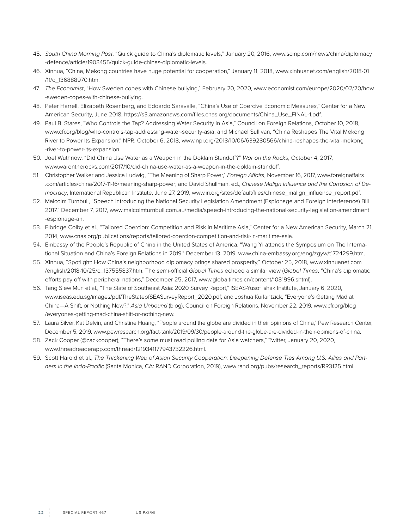- 45. *South China Morning Post*, "Quick guide to China's diplomatic levels," January 20, 2016, www.scmp.com/news/china/diplomacy -defence/article/1903455/quick-guide-chinas-diplomatic-levels.
- 46. Xinhua, "China, Mekong countries have huge potential for cooperation," January 11, 2018, www.xinhuanet.com/english/2018-01 /11/c\_136888970.htm.
- 47. *The Economist*, "How Sweden copes with Chinese bullying," February 20, 2020, www.economist.com/europe/2020/02/20/how -sweden-copes-with-chinese-bullying.
- 48. Peter Harrell, Elizabeth Rosenberg, and Edoardo Saravalle, "China's Use of Coercive Economic Measure*s*," Center for a New American Security, June 2018, https://s3.amazonaws.com/files.cnas.org/documents/China\_Use\_FINAL-1.pdf.
- 49. Paul B. Stares, "Who Controls the Tap? Addressing Water Security in Asia," Council on Foreign Relations, October 10, 2018, www.cfr.org/blog/who-controls-tap-addressing-water-security-asia; and Michael Sullivan, "China Reshapes The Vital Mekong River to Power Its Expansion," NPR, October 6, 2018, www.npr.org/2018/10/06/639280566/china-reshapes-the-vital-mekong -river-to-power-its-expansion.
- 50. Joel Wuthnow, "Did China Use Water as a Weapon in the Doklam Standoff?" *War on the Rocks*, October 4, 2017, www.warontherocks.com/2017/10/did-china-use-water-as-a-weapon-in-the-doklam-standoff.
- 51. Christopher Walker and Jessica Ludwig, "The Meaning of Sharp Power," *Foreign Affairs*, November 16, 2017, www.foreignaffairs .com/articles/china/2017-11-16/meaning-sharp-power; and David Shullman, ed., *Chinese Malign Influence and the Corrosion of Democracy*, International Republican Institute, June 27, 2019, www.iri.org/sites/default/files/chinese\_malign\_influence\_report.pdf.
- 52. Malcolm Turnbull, "Speech introducing the National Security Legislation Amendment (Espionage and Foreign Interference) Bill 2017," December 7, 2017, www.malcolmturnbull.com.au/media/speech-introducing-the-national-security-legislation-amendment -espionage-an.
- 53. Elbridge Colby et al., "Tailored Coercion: Competition and Risk in Maritime Asia," Center for a New American Security, March 21, 2014, www.cnas.org/publications/reports/tailored-coercion-competition-and-risk-in-maritime-asia.
- 54. Embassy of the People's Republic of China in the United States of America, "Wang Yi attends the Symposium on The International Situation and China's Foreign Relations in 2019," December 13, 2019, www.china-embassy.org/eng/zgyw/t1724299.htm.
- 55. Xinhua, "Spotlight: How China's neighborhood diplomacy brings shared prosperity," October 25, 2018, www.xinhuanet.com /english/2018-10/25/c\_137555837.htm. The semi-official *Global Times* echoed a similar view (*Global Times*, "China's diplomatic efforts pay off with peripheral nations," December 25, 2017, www.globaltimes.cn/content/1081996.shtml).
- 56. Tang Siew Mun et al., "The State of Southeast Asia: 2020 Survey Report," ISEAS-Yusof Ishak Institute, January 6, 2020, www.iseas.edu.sg/images/pdf/TheStateofSEASurveyReport\_2020.pdf; and Joshua Kurlantzick, "Everyone's Getting Mad at China—A Shift, or Nothing New?," *Asia Unbound* (blog), Council on Foreign Relations, November 22, 2019, www.cfr.org/blog /everyones-getting-mad-china-shift-or-nothing-new.
- 57. Laura Silver, Kat Delvin, and Christine Huang, "People around the globe are divided in their opinions of China," Pew Research Center, December 5, 2019, www.pewresearch.org/fact-tank/2019/09/30/people-around-the-globe-are-divided-in-their-opinions-of-china.
- 58. Zack Cooper (@zackcooper), "There's some must read polling data for Asia watchers," Twitter, January 20, 2020, www.threadreaderapp.com/thread/1219341177943732226.html.
- 59. Scott Harold et al., *The Thickening Web of Asian Security Cooperation: Deepening Defense Ties Among U.S. Allies and Partners in the Indo-Pacific* (Santa Monica, CA: RAND Corporation, 2019), www.rand.org/pubs/research\_reports/RR3125.html.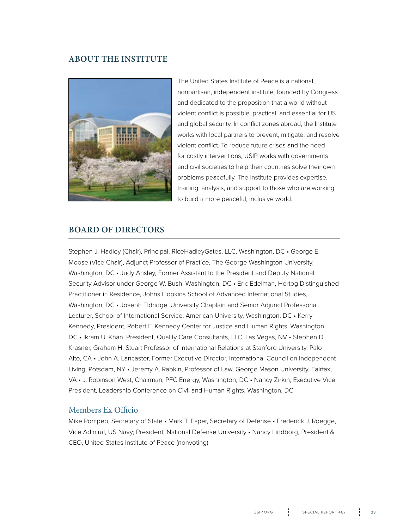### **ABOUT THE INSTITUTE**



The United States Institute of Peace is a national, nonpartisan, independent institute, founded by Congress and dedicated to the proposition that a world without violent conflict is possible, practical, and essential for US and global security. In conflict zones abroad, the Institute works with local partners to prevent, mitigate, and resolve violent conflict. To reduce future crises and the need for costly interventions, USIP works with governments and civil societies to help their countries solve their own problems peacefully. The Institute provides expertise, training, analysis, and support to those who are working to build a more peaceful, inclusive world.

#### **BOARD OF DIRECTORS**

Stephen J. Hadley (Chair), Principal, RiceHadleyGates, LLC, Washington, DC • George E. Moose (Vice Chair), Adjunct Professor of Practice, The George Washington University, Washington, DC • Judy Ansley, Former Assistant to the President and Deputy National Security Advisor under George W. Bush, Washington, DC • Eric Edelman, Hertog Distinguished Practitioner in Residence, Johns Hopkins School of Advanced International Studies, Washington, DC • Joseph Eldridge, University Chaplain and Senior Adjunct Professorial Lecturer, School of International Service, American University, Washington, DC • Kerry Kennedy, President, Robert F. Kennedy Center for Justice and Human Rights, Washington, DC • Ikram U. Khan, President, Quality Care Consultants, LLC, Las Vegas, NV • Stephen D. Krasner, Graham H. Stuart Professor of International Relations at Stanford University, Palo Alto, CA • John A. Lancaster, Former Executive Director, International Council on Independent Living, Potsdam, NY • Jeremy A. Rabkin, Professor of Law, George Mason University, Fairfax, VA • J. Robinson West, Chairman, PFC Energy, Washington, DC • Nancy Zirkin, Executive Vice President, Leadership Conference on Civil and Human Rights, Washington, DC

#### Members Ex Officio

Mike Pompeo, Secretary of State • Mark T. Esper, Secretary of Defense • Frederick J. Roegge, Vice Admiral, US Navy; President, National Defense University • Nancy Lindborg, President & CEO, United States Institute of Peace (nonvoting)